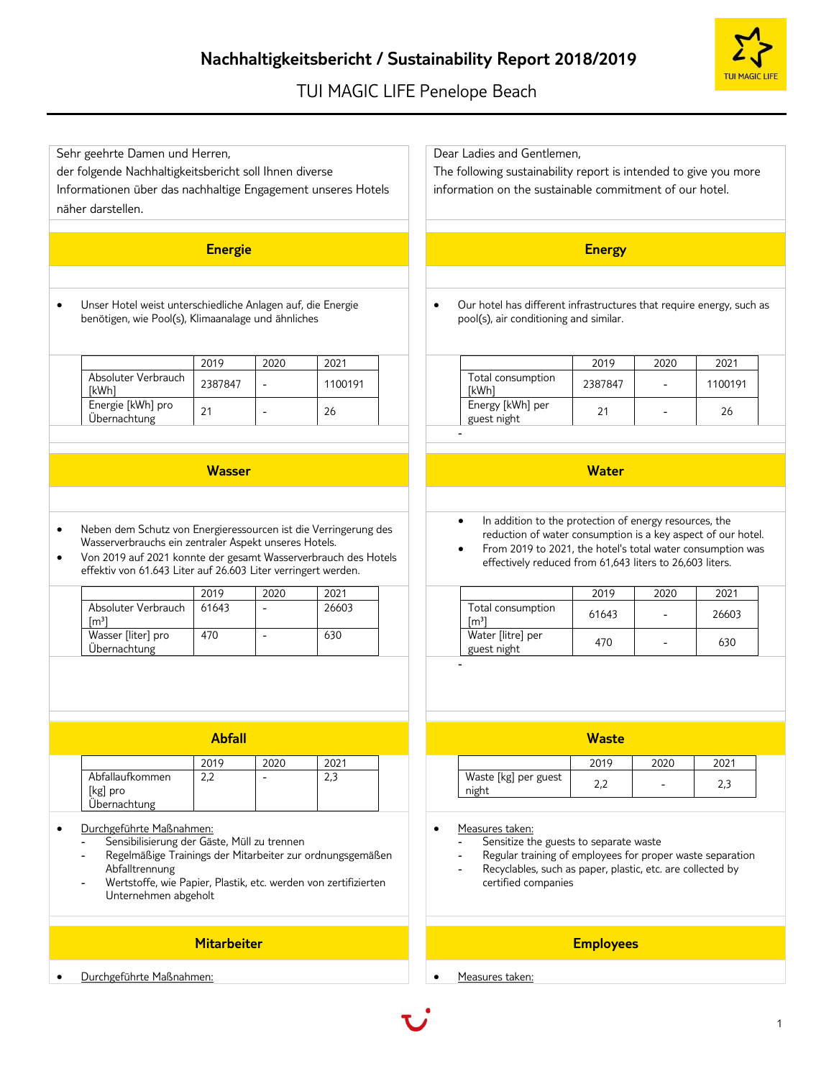## **Nachhaltigkeitsbericht / Sustainability Report 2018/2019**

## TUI MAGIC LIFE Penelope Beach

Dear Ladies and Gentlemen,

The following sustainability report is intended to give you more



### Informationen über das nachhaltige Engagement unseres Hotels näher darstellen. information on the sustainable commitment of our hotel. **Energie Energy** • Unser Hotel weist unterschiedliche Anlagen auf, die Energie benötigen, wie Pool(s), Klimaanalage und ähnliches • Our hotel has different infrastructures that require energy, such as pool(s), air conditioning and similar. 2019 2020 2021 Absoluter Verbrauch<br>[kWh] Absoluter verbrauch | 2387847 | - 1100191 Energie [kWh] pro Energie [KWn] pro<br>Übernachtung 21 - 26 2019 2020 2021 Total consumption<br>[kWh] 10tal consumption | 2387847 | - | 1100191 Energy [kWh] per Energy [KWH] per<br>guest night 21 - 26 - **Wasser Water** • Neben dem Schutz von Energieressourcen ist die Verringerung des Wasserverbrauchs ein zentraler Aspekt unseres Hotels. • Von 2019 auf 2021 konnte der gesamt Wasserverbrauch des Hotels effektiv von 61.643 Liter auf 26.603 Liter verringert werden. In addition to the protection of energy resources, the reduction of water consumption is a key aspect of our hotel. • From 2019 to 2021, the hotel's total water consumption was effectively reduced from 61,643 liters to 26,603 liters. 2019 2020 2021 Absoluter Verbrauch  $[m<sup>3</sup>]$ 61643 - 26603 Wasser [liter] pro Übernachtung 470 - 630 2019 2020 2021 Total consumption  $[m^3]$   $[m^3]$   $[10]$   $[10]$   $[10]$   $[10]$   $[10]$   $[10]$   $[10]$   $[10]$   $[10]$   $[10]$   $[10]$   $[10]$   $[10]$   $[10]$   $[10]$   $[10]$   $[10]$   $[10]$   $[10]$   $[10]$   $[10]$   $[10]$   $[10]$   $[10]$   $[10]$   $[10]$   $[10]$   $[10]$   $[10]$   $[10$ Water [litre] per water [litre] per<br>guest night  $470$  - 630 - **Abfall Waste** 2019 2020 2021 Abfallaufkommen [kg] pro Übernachtung  $2,2$  - 2,3 2019 2020 2021 Waste [kg] per guest waste  $\lfloor \frac{1}{2} \rfloor$  per guest  $\lfloor 2.2 \rfloor$  -  $\lfloor 2.3 \rfloor$  2.3 • Durchgeführte Maßnahmen: - Sensibilisierung der Gäste, Müll zu trennen - Regelmäßige Trainings der Mitarbeiter zur ordnungsgemäßen Abfalltrennung Wertstoffe, wie Papier, Plastik, etc. werden von zertifizierten Unternehmen abgeholt Measures taken: Sensitize the guests to separate waste Regular training of employees for proper waste separation Recyclables, such as paper, plastic, etc. are collected by certified companies **Mitarbeiter Employees**

• Durchgeführte Maßnahmen: • Measures taken:

Sehr geehrte Damen und Herren,

der folgende Nachhaltigkeitsbericht soll Ihnen diverse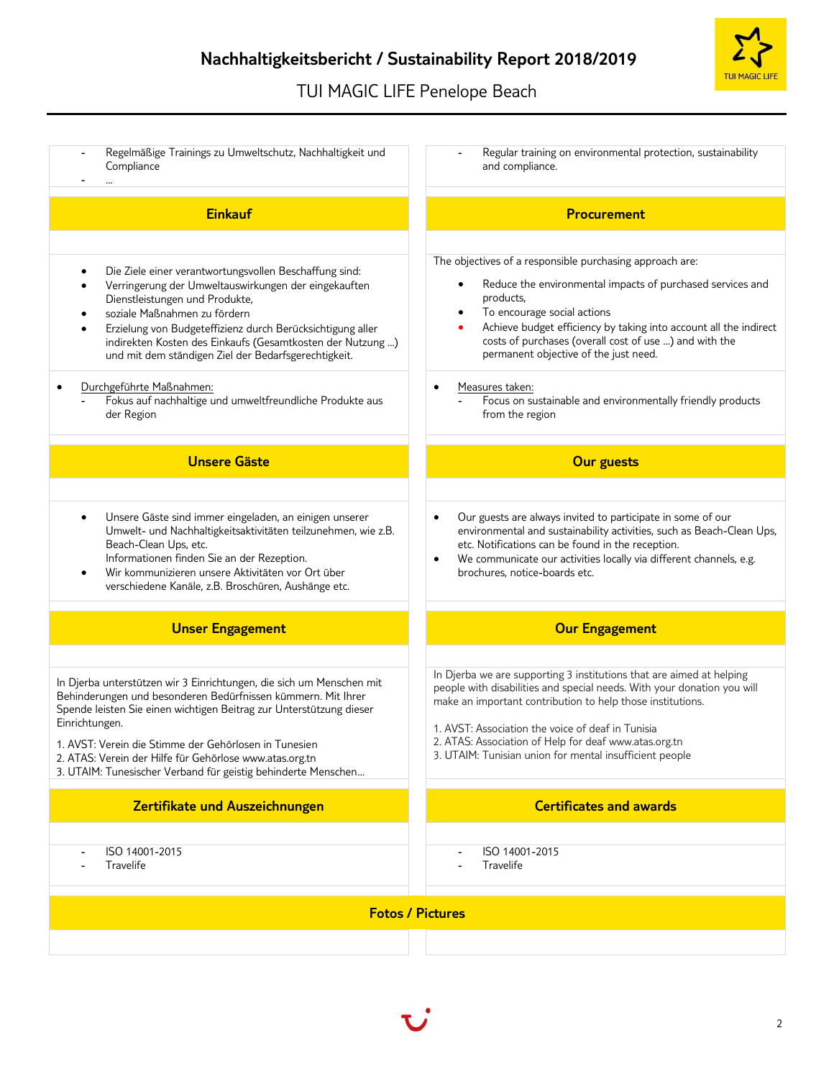# TUI MAGIC LIFE Penelope Beach

| Regelmäßige Trainings zu Umweltschutz, Nachhaltigkeit und<br>Compliance                                                                                                                                                                                                                                                                                                                                                                                                                 | Regular training on environmental protection, sustainability<br>and compliance.                                                                                                                                                                                                                                                                                                                                                                                               |
|-----------------------------------------------------------------------------------------------------------------------------------------------------------------------------------------------------------------------------------------------------------------------------------------------------------------------------------------------------------------------------------------------------------------------------------------------------------------------------------------|-------------------------------------------------------------------------------------------------------------------------------------------------------------------------------------------------------------------------------------------------------------------------------------------------------------------------------------------------------------------------------------------------------------------------------------------------------------------------------|
| <b>Einkauf</b>                                                                                                                                                                                                                                                                                                                                                                                                                                                                          | <b>Procurement</b>                                                                                                                                                                                                                                                                                                                                                                                                                                                            |
| Die Ziele einer verantwortungsvollen Beschaffung sind:<br>Verringerung der Umweltauswirkungen der eingekauften<br>Dienstleistungen und Produkte,<br>soziale Maßnahmen zu fördern<br>Erzielung von Budgeteffizienz durch Berücksichtigung aller<br>indirekten Kosten des Einkaufs (Gesamtkosten der Nutzung )<br>und mit dem ständigen Ziel der Bedarfsgerechtigkeit.<br>Durchgeführte Maßnahmen:<br>$\bullet$<br>Fokus auf nachhaltige und umweltfreundliche Produkte aus<br>der Region | The objectives of a responsible purchasing approach are:<br>Reduce the environmental impacts of purchased services and<br>products,<br>To encourage social actions<br>Achieve budget efficiency by taking into account all the indirect<br>costs of purchases (overall cost of use ) and with the<br>permanent objective of the just need.<br>Measures taken:<br>$\bullet$<br>Focus on sustainable and environmentally friendly products<br>$\blacksquare$<br>from the region |
| <b>Unsere Gäste</b>                                                                                                                                                                                                                                                                                                                                                                                                                                                                     | <b>Our guests</b>                                                                                                                                                                                                                                                                                                                                                                                                                                                             |
| Unsere Gäste sind immer eingeladen, an einigen unserer<br>$\bullet$<br>Umwelt- und Nachhaltigkeitsaktivitäten teilzunehmen, wie z.B.<br>Beach-Clean Ups, etc.<br>Informationen finden Sie an der Rezeption.<br>Wir kommunizieren unsere Aktivitäten vor Ort über<br>$\bullet$<br>verschiedene Kanäle, z.B. Broschüren, Aushänge etc.                                                                                                                                                    | Our guests are always invited to participate in some of our<br>$\bullet$<br>environmental and sustainability activities, such as Beach-Clean Ups,<br>etc. Notifications can be found in the reception.<br>We communicate our activities locally via different channels, e.g.<br>$\bullet$<br>brochures, notice-boards etc.                                                                                                                                                    |
| <b>Unser Engagement</b>                                                                                                                                                                                                                                                                                                                                                                                                                                                                 | <b>Our Engagement</b>                                                                                                                                                                                                                                                                                                                                                                                                                                                         |
| In Djerba unterstützen wir 3 Einrichtungen, die sich um Menschen mit<br>Behinderungen und besonderen Bedürfnissen kümmern. Mit Ihrer<br>Spende leisten Sie einen wichtigen Beitrag zur Unterstützung dieser<br>Einrichtungen.<br>1. AVST: Verein die Stimme der Gehörlosen in Tunesien<br>2. ATAS: Verein der Hilfe für Gehörlose www.atas.org.tn<br>3. UTAIM: Tunesischer Verband für geistig behinderte Menschen                                                                      | In Djerba we are supporting 3 institutions that are aimed at helping<br>people with disabilities and special needs. With your donation you will<br>make an important contribution to help those institutions.<br>1. AVST: Association the voice of deaf in Tunisia<br>2. ATAS: Association of Help for deaf www.atas.org.tn<br>3. UTAIM: Tunisian union for mental insufficient people                                                                                        |
| Zertifikate und Auszeichnungen                                                                                                                                                                                                                                                                                                                                                                                                                                                          | <b>Certificates and awards</b>                                                                                                                                                                                                                                                                                                                                                                                                                                                |
| ISO 14001-2015<br>Travelife                                                                                                                                                                                                                                                                                                                                                                                                                                                             | ISO 14001-2015<br>Travelife                                                                                                                                                                                                                                                                                                                                                                                                                                                   |
|                                                                                                                                                                                                                                                                                                                                                                                                                                                                                         | <b>Fotos / Pictures</b>                                                                                                                                                                                                                                                                                                                                                                                                                                                       |